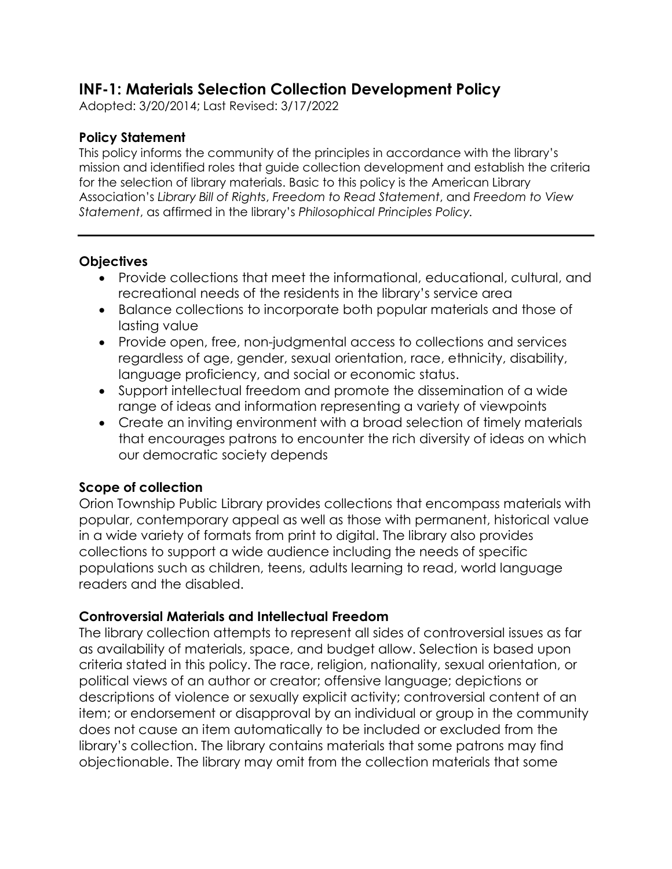# **INF-1: Materials Selection Collection Development Policy**

Adopted: 3/20/2014; Last Revised: 3/17/2022

#### **Policy Statement**

This policy informs the community of the principles in accordance with the library's mission and identified roles that guide collection development and establish the criteria for the selection of library materials. Basic to this policy is the American Library Association's *Library Bill of Rights*, *Freedom to Read Statement*, and *Freedom to View Statement*, as affirmed in the library's *Philosophical Principles Policy.*

#### **Objectives**

- Provide collections that meet the informational, educational, cultural, and recreational needs of the residents in the library's service area
- Balance collections to incorporate both popular materials and those of lasting value
- Provide open, free, non-judgmental access to collections and services regardless of age, gender, sexual orientation, race, ethnicity, disability, language proficiency, and social or economic status.
- Support intellectual freedom and promote the dissemination of a wide range of ideas and information representing a variety of viewpoints
- Create an inviting environment with a broad selection of timely materials that encourages patrons to encounter the rich diversity of ideas on which our democratic society depends

### **Scope of collection**

Orion Township Public Library provides collections that encompass materials with popular, contemporary appeal as well as those with permanent, historical value in a wide variety of formats from print to digital. The library also provides collections to support a wide audience including the needs of specific populations such as children, teens, adults learning to read, world language readers and the disabled.

### **Controversial Materials and Intellectual Freedom**

The library collection attempts to represent all sides of controversial issues as far as availability of materials, space, and budget allow. Selection is based upon criteria stated in this policy. The race, religion, nationality, sexual orientation, or political views of an author or creator; offensive language; depictions or descriptions of violence or sexually explicit activity; controversial content of an item; or endorsement or disapproval by an individual or group in the community does not cause an item automatically to be included or excluded from the library's collection. The library contains materials that some patrons may find objectionable. The library may omit from the collection materials that some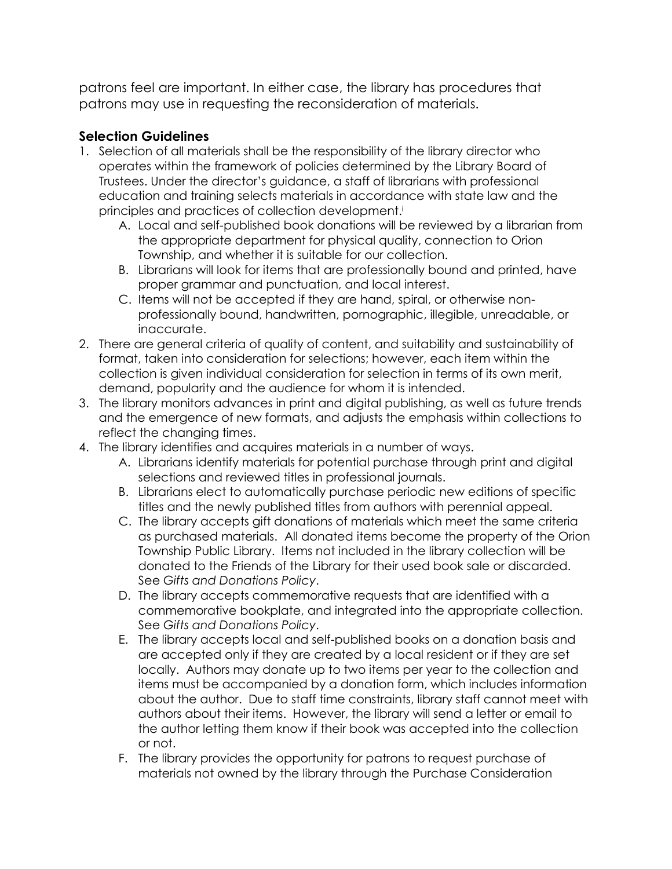patrons feel are important. In either case, the library has procedures that patrons may use in requesting the reconsideration of materials.

## **Selection Guidelines**

- 1. Selection of all materials shall be the responsibility of the library director who operates within the framework of policies determined by the Library Board of Trustees. Under the director's guidance, a staff of librarians with professional education and training selects materials in accordance with state law and the principles and practices of collection development.<sup>i</sup>
	- A. Local and self-published book donations will be reviewed by a librarian from the appropriate department for physical quality, connection to Orion Township, and whether it is suitable for our collection.
	- B. Librarians will look for items that are professionally bound and printed, have proper grammar and punctuation, and local interest.
	- C. Items will not be accepted if they are hand, spiral, or otherwise nonprofessionally bound, handwritten, pornographic, illegible, unreadable, or inaccurate.
- 2. There are general criteria of quality of content, and suitability and sustainability of format, taken into consideration for selections; however, each item within the collection is given individual consideration for selection in terms of its own merit, demand, popularity and the audience for whom it is intended.
- 3. The library monitors advances in print and digital publishing, as well as future trends and the emergence of new formats, and adjusts the emphasis within collections to reflect the changing times.
- 4. The library identifies and acquires materials in a number of ways.
	- A. Librarians identify materials for potential purchase through print and digital selections and reviewed titles in professional journals.
	- B. Librarians elect to automatically purchase periodic new editions of specific titles and the newly published titles from authors with perennial appeal.
	- C. The library accepts gift donations of materials which meet the same criteria as purchased materials. All donated items become the property of the Orion Township Public Library. Items not included in the library collection will be donated to the Friends of the Library for their used book sale or discarded. See *Gifts and Donations Policy*.
	- D. The library accepts commemorative requests that are identified with a commemorative bookplate, and integrated into the appropriate collection. See *Gifts and Donations Policy*.
	- E. The library accepts local and self-published books on a donation basis and are accepted only if they are created by a local resident or if they are set locally. Authors may donate up to two items per year to the collection and items must be accompanied by a donation form, which includes information about the author. Due to staff time constraints, library staff cannot meet with authors about their items. However, the library will send a letter or email to the author letting them know if their book was accepted into the collection or not.
	- F. The library provides the opportunity for patrons to request purchase of materials not owned by the library through the Purchase Consideration